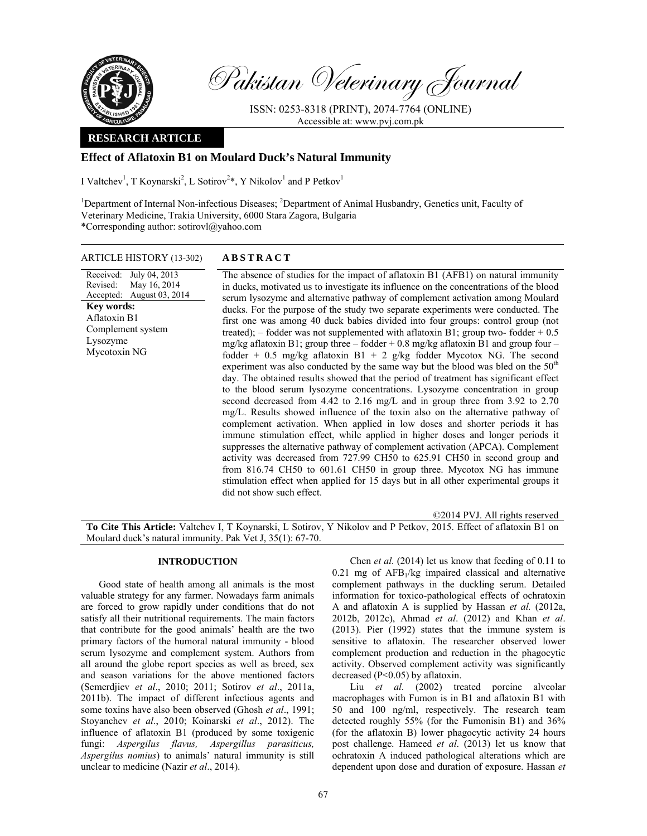

Pakistan Veterinary Journal

ISSN: 0253-8318 (PRINT), 2074-7764 (ONLINE) Accessible at: www.pvj.com.pk

# **RESEARCH ARTICLE**

# **Effect of Aflatoxin B1 on Moulard Duck's Natural Immunity**

I Valtchev<sup>1</sup>, T Koynarski<sup>2</sup>, L Sotirov<sup>2\*</sup>, Y Nikolov<sup>1</sup> and P Petkov<sup>1</sup>

<sup>1</sup>Department of Internal Non-infectious Diseases; <sup>2</sup>Department of Animal Husbandry, Genetics unit, Faculty of Veterinary Medicine, Trakia University, 6000 Stara Zagora, Bulgaria \*Corresponding author: sotirovl@yahoo.com

## ARTICLE HISTORY (13-302) **ABSTRACT**

Received: July 04, 2013 Revised: Accepted: May 16, 2014 August 03, 2014 The absence of studies for the impact of aflatoxin B1 (AFB1) on natural immunity in ducks, motivated us to investigate its influence on the concentrations of the blood serum lysozyme and alternative pathway of complement activation among Moulard ducks. For the purpose of the study two separate experiments were conducted. The first one was among 40 duck babies divided into four groups: control group (not treated); – fodder was not supplemented with aflatoxin B1; group two-fodder  $+0.5$ mg/kg aflatoxin B1; group three – fodder  $+$  0.8 mg/kg aflatoxin B1 and group four – fodder + 0.5 mg/kg aflatoxin B1 + 2 g/kg fodder Mycotox NG. The second experiment was also conducted by the same way but the blood was bled on the  $50<sup>th</sup>$ day. The obtained results showed that the period of treatment has significant effect to the blood serum lysozyme concentrations. Lysozyme concentration in group second decreased from 4.42 to 2.16 mg/L and in group three from 3.92 to 2.70 mg/L. Results showed influence of the toxin also on the alternative pathway of complement activation. When applied in low doses and shorter periods it has immune stimulation effect, while applied in higher doses and longer periods it suppresses the alternative pathway of complement activation (APCA). Complement activity was decreased from 727.99 CH50 to 625.91 CH50 in second group and from 816.74 CH50 to 601.61 CH50 in group three. Mycotox NG has immune stimulation effect when applied for 15 days but in all other experimental groups it did not show such effect. **Key words:**  Aflatoxin B1 Complement system Lysozyme Mycotoxin NG

©2014 PVJ. All rights reserved

**To Cite This Article:** Valtchev I, T Koynarski, L Sotirov, Y Nikolov and P Petkov, 2015. Effect of aflatoxin B1 on Moulard duck's natural immunity. Pak Vet J, 35(1): 67-70.

## **INTRODUCTION**

Good state of health among all animals is the most valuable strategy for any farmer. Nowadays farm animals are forced to grow rapidly under conditions that do not satisfy all their nutritional requirements. The main factors that contribute for the good animals' health are the two primary factors of the humoral natural immunity - blood serum lysozyme and complement system. Authors from all around the globe report species as well as breed, sex and season variations for the above mentioned factors (Semerdjiev *et al*., 2010; 2011; Sotirov *et al*., 2011a, 2011b). The impact of different infectious agents and some toxins have also been observed (Ghosh *et al*., 1991; Stoyanchev *et al*., 2010; Кoinarski *et al*., 2012). The influence of aflatoxin B1 (produced by some toxigenic fungi: *Aspergilus flavus, Aspergillus parasiticus, Aspergilus nomius*) to animals' natural immunity is still unclear to medicine (Nazir *et al*., 2014).

Chen *et al.* (2014) let us know that feeding of 0.11 to  $0.21$  mg of AFB $<sub>1</sub>/kg$  impaired classical and alternative</sub> complement pathways in the duckling serum. Detailed information for toxico-pathological effects of ochratoxin A and aflatoxin A is supplied by Hassan *et al.* (2012a, 2012b, 2012c), Ahmad *et al*. (2012) and Khan *et al*. (2013). Pier (1992) states that the immune system is sensitive to aflatoxin. The researcher observed lower complement production and reduction in the phagocytic activity. Observed complement activity was significantly decreased (P<0.05) by aflatoxin.

Liu *et al.* (2002) treated porcine alveolar macrophages with Fumon is in B1 and aflatoxin B1 with 50 and 100 ng/ml, respectively. The research team detected roughly 55% (for the Fumonisin B1) and 36% (for the aflatoxin B) lower phagocytic activity 24 hours post challenge. Hameed *et al*. (2013) let us know that ochratoxin A induced pathological alterations which are dependent upon dose and duration of exposure. Hassan *et*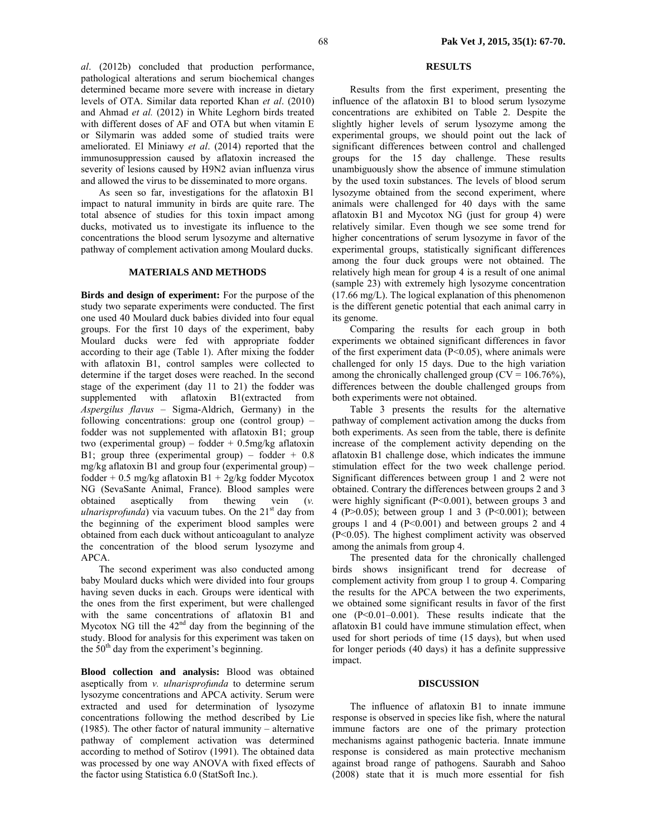*al*. (2012b) concluded that production performance, pathological alterations and serum biochemical changes determined became more severe with increase in dietary levels of OTA. Similar data reported Khan *et al*. (2010) and Ahmad *et al.* (2012) in White Leghorn birds treated with different doses of AF and OTA but when vitamin E or Silymarin was added some of studied traits were ameliorated. El Miniawy *et al*. (2014) reported that the immunosuppression caused by aflatoxin increased the severity of lesions caused by H9N2 avian influenza virus and allowed the virus to be disseminated to more organs.

As seen so far, investigations for the aflatoxin B1 impact to natural immunity in birds are quite rare. The total absence of studies for this toxin impact among ducks, motivated us to investigate its influence to the concentrations the blood serum lysozyme and alternative pathway of complement activation among Moulard ducks.

## **MATERIALS AND METHODS**

**Birds and design of experiment:** For the purpose of the study two separate experiments were conducted. The first one used 40 Moulard duck babies divided into four equal groups. For the first 10 days of the experiment, baby Moulard ducks were fed with appropriate fodder according to their age (Table 1). After mixing the fodder with aflatoxin B1, control samples were collected to determine if the target doses were reached. In the second stage of the experiment (day 11 to 21) the fodder was supplemented with aflatoxin B1(extracted from *Aspergilus flavus* – Sigma-Aldrich, Germany) in the following concentrations: group one (control group) – fodder was not supplemented with aflatoxin B1; group two (experimental group) – fodder  $+$  0.5mg/kg aflatoxin B1; group three (experimental group) – fodder  $+$  0.8 mg/kg aflatoxin B1 and group four (experimental group) – fodder + 0.5 mg/kg aflatoxin B1 + 2g/kg fodder Mycotox NG (SevaSante Animal, France). Blood samples were obtained aseptically from thewing vein (*v. ulnarisprofunda*) via vacuum tubes. On the 21<sup>st</sup> day from the beginning of the experiment blood samples were obtained from each duck without anticoagulant to analyze the concentration of the blood serum lysozyme and APCA.

The second experiment was also conducted among baby Moulard ducks which were divided into four groups having seven ducks in each. Groups were identical with the ones from the first experiment, but were challenged with the same concentrations of aflatoxin B1 and Mycotox NG till the  $42<sup>nd</sup>$  day from the beginning of the study. Blood for analysis for this experiment was taken on the  $50<sup>th</sup>$  day from the experiment's beginning.

**Blood collection and analysis:** Blood was obtained aseptically from *v. ulnarisprofunda* to determine serum lysozyme concentrations and APCA activity. Serum were extracted and used for determination of lysozyme concentrations following the method described by Lie (1985). The other factor of natural immunity – alternative pathway of complement activation was determined according to method of Sotirov (1991). The obtained data was processed by one way ANOVA with fixed effects of the factor using Statistica 6.0 (StatSoft Inc.).

## **RESULTS**

Results from the first experiment, presenting the influence of the aflatoxin B1 to blood serum lysozyme concentrations are exhibited on Table 2. Despite the slightly higher levels of serum lysozyme among the experimental groups, we should point out the lack of significant differences between control and challenged groups for the 15 day challenge. These results unambiguously show the absence of immune stimulation by the used toxin substances. The levels of blood serum lysozyme obtained from the second experiment, where animals were challenged for 40 days with the same aflatoxin B1 and Mycotox NG (just for group 4) were relatively similar. Even though we see some trend for higher concentrations of serum lysozyme in favor of the experimental groups, statistically significant differences among the four duck groups were not obtained. The relatively high mean for group 4 is a result of one animal (sample 23) with extremely high lysozyme concentration (17.66 mg/L). The logical explanation of this phenomenon is the different genetic potential that each animal carry in its genome.

Comparing the results for each group in both experiments we obtained significant differences in favor of the first experiment data (P<0.05), where animals were challenged for only 15 days. Due to the high variation among the chronically challenged group ( $CV = 106.76\%$ ), differences between the double challenged groups from both experiments were not obtained.

Table 3 presents the results for the alternative pathway of complement activation among the ducks from both experiments. As seen from the table, there is definite increase of the complement activity depending on the aflatoxin B1 challenge dose, which indicates the immune stimulation effect for the two week challenge period. Significant differences between group 1 and 2 were not obtained. Contrary the differences between groups 2 and 3 were highly significant (P<0.001), between groups 3 and 4 (P $>0.05$ ); between group 1 and 3 (P $< 0.001$ ); between groups 1 and 4 ( $P<0.001$ ) and between groups 2 and 4 (P<0.05). The highest compliment activity was observed among the animals from group 4.

The presented data for the chronically challenged birds shows insignificant trend for decrease of complement activity from group 1 to group 4. Comparing the results for the APCA between the two experiments, we obtained some significant results in favor of the first one (P<0.01–0.001). These results indicate that the aflatoxin B1 could have immune stimulation effect, when used for short periods of time (15 days), but when used for longer periods (40 days) it has a definite suppressive impact.

#### **DISCUSSION**

The influence of aflatoxin B1 to innate immune response is observed in species like fish, where the natural immune factors are one of the primary protection mechanisms against pathogenic bacteria. Innate immune response is considered as main protective mechanism against broad range of pathogens. Saurabh and Sahoo (2008) state that it is much more essential for fish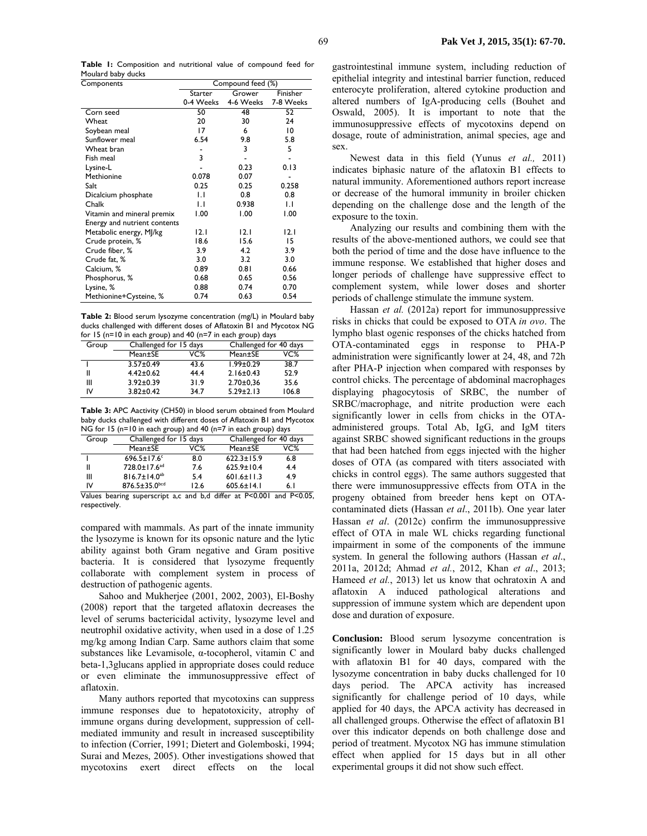**Table 1:** Composition and nutritional value of compound feed for Moulard baby ducks

| Components                   | Compound feed (%) |           |           |
|------------------------------|-------------------|-----------|-----------|
|                              | Starter           | Grower    | Finisher  |
|                              | 0-4 Weeks         | 4-6 Weeks | 7-8 Weeks |
| Corn seed                    | 50                | 48        | 52        |
| Wheat                        | 20                | 30        | 24        |
| Soybean meal                 | 17                | 6         | 10        |
| Sunflower meal               | 6.54              | 9.8       | 5.8       |
| Wheat bran                   |                   | 3         | 5         |
| Fish meal                    | 3                 |           |           |
| Lysine-L                     |                   | 0.23      | 0.13      |
| Methionine                   | 0.078             | 0.07      |           |
| Salt                         | 0.25              | 0.25      | 0.258     |
| Dicalcium phosphate          | IJ                | 0.8       | 0.8       |
| Chalk                        | LI.               | 0.938     | IJ        |
| Vitamin and mineral premix   | 1.00              | 1.00      | 1.00      |
| Energy and nutrient contents |                   |           |           |
| Metabolic energy, MJ/kg      | 12.1              | 12.1      | 12.1      |
| Crude protein, %             | 18.6              | 15.6      | 15        |
| Crude fiber, %               | 3.9               | 4.2       | 3.9       |
| Crude fat, %                 | 3.0               | 3.2       | 3.0       |
| Calcium, %                   | 0.89              | 0.81      | 0.66      |
| Phosphorus, %                | 0.68              | 0.65      | 0.56      |
| Lysine, %                    | 0.88              | 0.74      | 0.70      |
| Methionine+Cysteine, %       | 0.74              | 0.63      | 0.54      |

**Table 2:** Blood serum lysozyme concentration (mg/L) in Moulard baby ducks challenged with different doses of Aflatoxin B1 and Mycotox NG for 15 (n=10 in each group) and 40 (n=7 in each group) days

| Group | Challenged for 15 days |      | Challenged for 40 days |       |
|-------|------------------------|------|------------------------|-------|
|       | Mean±SE                | VC%  | Mean±SE                | VC%   |
|       | $3.57 \pm 0.49$        | 43.6 | $1.99 \pm 0.29$        | 38.7  |
|       | $4.42 \pm 0.62$        | 44.4 | $2.16 \pm 0.43$        | 52.9  |
| Ш     | $3.92 \pm 0.39$        | 31.9 | $2.70 \pm 0.36$        | 35.6  |
| ı٧    | $3.82 \pm 0.42$        | 34.7 | $5.29 \pm 2.13$        | 106.8 |

**Table 3:** APC Aactivity (CH50) in blood serum obtained from Moulard baby ducks challenged with different doses of Aflatoxin B1 and Mycotox NG for 15 (n=10 in each group) and 40 (n=7 in each group) days

| Group | Challenged for 15 days   |      | Challenged for 40 days |     |
|-------|--------------------------|------|------------------------|-----|
|       | Mean±SE                  | VC%  | Mean±SE                | VC% |
|       | $696.5 \pm 17.6$         | 8.0  | $622.3 \pm 15.9$       | 6.8 |
| П     | 728.0±17.6 <sup>ad</sup> | 7.6  | $625.9 \pm 10.4$       | 4.4 |
| Ш     | $816.7 \pm 14.0^{ab}$    | 5.4  | $601.6 \pm 11.3$       | 4.9 |
| ı٧    | $876.5 \pm 35.0$ bcd     | 12.6 | $605.6 \pm 14.1$       | 6.1 |
| .     |                          | .    |                        |     |

Values bearing superscript a,c and b,d differ at P<0.001 and P<0.05, respectively.

compared with mammals. As part of the innate immunity the lysozyme is known for its opsonic nature and the lytic ability against both Gram negative and Gram positive bacteria. It is considered that lysozyme frequently collaborate with complement system in process of destruction of pathogenic agents.

Sahoo and Mukherjee (2001, 2002, 2003), El-Boshy (2008) report that the targeted aflatoxin decreases the level of serums bactericidal activity, lysozyme level and neutrophil oxidative activity, when used in a dose of 1.25 mg/kg among Indian Carp. Same authors claim that some substances like Levamisole, α-tocopherol, vitamin C and beta-1,3glucans applied in appropriate doses could reduce or even eliminate the immunosuppressive effect of aflatoxin.

Many authors reported that mycotoxins can suppress immune responses due to hepatotoxicity, atrophy of immune organs during development, suppression of cellmediated immunity and result in increased susceptibility to infection (Corrier, 1991; Dietert and Golemboski, 1994; Surai and Mezes, 2005). Other investigations showed that mycotoxins exert direct effects on the local

gastrointestinal immune system, including reduction of epithelial integrity and intestinal barrier function, reduced enterocyte proliferation, altered cytokine production and altered numbers of IgA-producing cells (Bouhet and Oswald, 2005). It is important to note that the immunosuppressive effects of mycotoxins depend on dosage, route of administration, animal species, age and sex.

Newest data in this field (Yunus *et al.,* 2011) indicates biphasic nature of the aflatoxin B1 effects to natural immunity. Aforementioned authors report increase or decrease of the humoral immunity in broiler chicken depending on the challenge dose and the length of the exposure to the toxin.

Analyzing our results and combining them with the results of the above-mentioned authors, we could see that both the period of time and the dose have influence to the immune response. We established that higher doses and longer periods of challenge have suppressive effect to complement system, while lower doses and shorter periods of challenge stimulate the immune system.

Hassan *et al.* (2012a) report for immunosuppressive risks in chicks that could be exposed to OTA *in ovo*. The lympho blast ogenic responses of the chicks hatched from OTA-contaminated eggs in response to PHA-P administration were significantly lower at 24, 48, and 72h after PHA-P injection when compared with responses by control chicks. The percentage of abdominal macrophages displaying phagocytosis of SRBC, the number of SRBC/macrophage, and nitrite production were each significantly lower in cells from chicks in the OTAadministered groups. Total Ab, IgG, and IgM titers against SRBC showed significant reductions in the groups that had been hatched from eggs injected with the higher doses of OTA (as compared with titers associated with chicks in control eggs). The same authors suggested that there were immunosuppressive effects from OTA in the progeny obtained from breeder hens kept on OTAcontaminated diets (Hassan *et al*., 2011b). One year later Hassan *et al*. (2012c) confirm the immunosuppressive effect of OTA in male WL chicks regarding functional impairment in some of the components of the immune system. In general the following authors (Hassan *et al*., 2011a, 2012d; Ahmad *et al.*, 2012, Khan *et al*., 2013; Hameed *et al.*, 2013) let us know that ochratoxin A and aflatoxin A induced pathological alterations and suppression of immune system which are dependent upon dose and duration of exposure.

**Conclusion:** Blood serum lysozyme concentration is significantly lower in Moulard baby ducks challenged with aflatoxin B1 for 40 days, compared with the lysozyme concentration in baby ducks challenged for 10 days period. The APCA activity has increased significantly for challenge period of 10 days, while applied for 40 days, the APCA activity has decreased in all challenged groups. Otherwise the effect of aflatoxin B1 over this indicator depends on both challenge dose and period of treatment. Mycotox NG has immune stimulation effect when applied for 15 days but in all other experimental groups it did not show such effect.